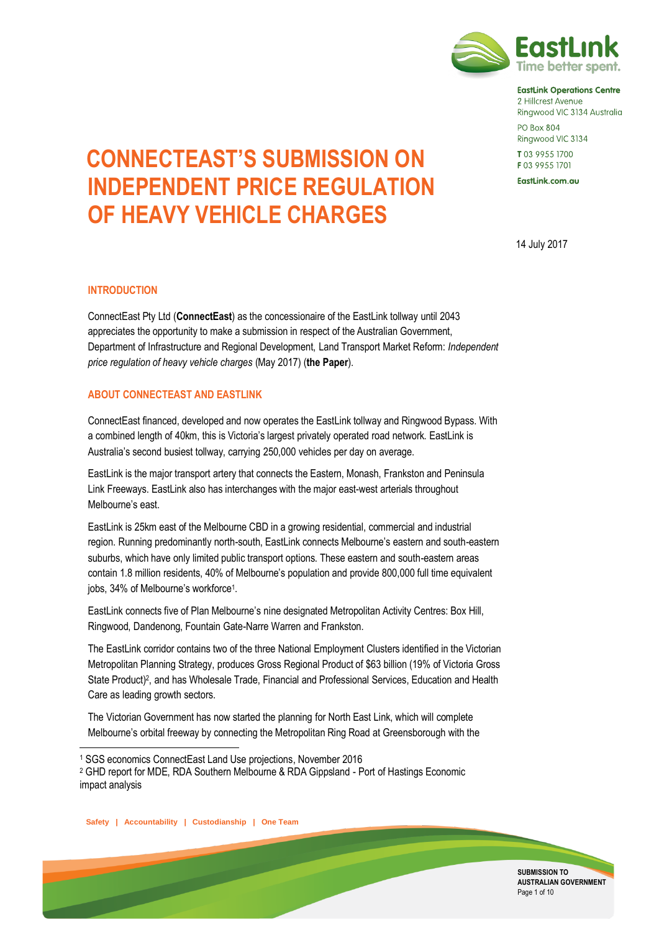

**EastLink Operations Centre** 2 Hillcrest Avenue Ringwood VIC 3134 Australia **PO Box 804** 

Ringwood VIC 3134 T03 9955 1700

F03 9955 1701

EastLink.com.au

14 July 2017

# **CONNECTEAST'S SUBMISSION ON INDEPENDENT PRICE REGULATION OF HEAVY VEHICLE CHARGES**

#### **INTRODUCTION**

ConnectEast Pty Ltd (**ConnectEast**) as the concessionaire of the EastLink tollway until 2043 appreciates the opportunity to make a submission in respect of the Australian Government, Department of Infrastructure and Regional Development, Land Transport Market Reform: *Independent price regulation of heavy vehicle charges* (May 2017) (**the Paper**).

#### **ABOUT CONNECTEAST AND EASTLINK**

ConnectEast financed, developed and now operates the EastLink tollway and Ringwood Bypass. With a combined length of 40km, this is Victoria's largest privately operated road network. EastLink is Australia's second busiest tollway, carrying 250,000 vehicles per day on average.

EastLink is the major transport artery that connects the Eastern, Monash, Frankston and Peninsula Link Freeways. EastLink also has interchanges with the major east-west arterials throughout Melbourne's east.

EastLink is 25km east of the Melbourne CBD in a growing residential, commercial and industrial region. Running predominantly north-south, EastLink connects Melbourne's eastern and south-eastern suburbs, which have only limited public transport options. These eastern and south-eastern areas contain 1.8 million residents, 40% of Melbourne's population and provide 800,000 full time equivalent jobs, 34% of Melbourne's workforce<sup>1</sup> .

EastLink connects five of Plan Melbourne's nine designated Metropolitan Activity Centres: Box Hill, Ringwood, Dandenong, Fountain Gate-Narre Warren and Frankston.

The EastLink corridor contains two of the three National Employment Clusters identified in the Victorian Metropolitan Planning Strategy, produces Gross Regional Product of \$63 billion (19% of Victoria Gross State Product)<sup>2</sup>, and has Wholesale Trade, Financial and Professional Services, Education and Health Care as leading growth sectors.

The Victorian Government has now started the planning for North East Link, which will complete Melbourne's orbital freeway by connecting the Metropolitan Ring Road at Greensborough with the

**Safety | Accountability | Custodianship | One Team**

 $\overline{a}$ 



<sup>1</sup> SGS economics ConnectEast Land Use projections, November 2016

<sup>2</sup> GHD report for MDE, RDA Southern Melbourne & RDA Gippsland - Port of Hastings Economic impact analysis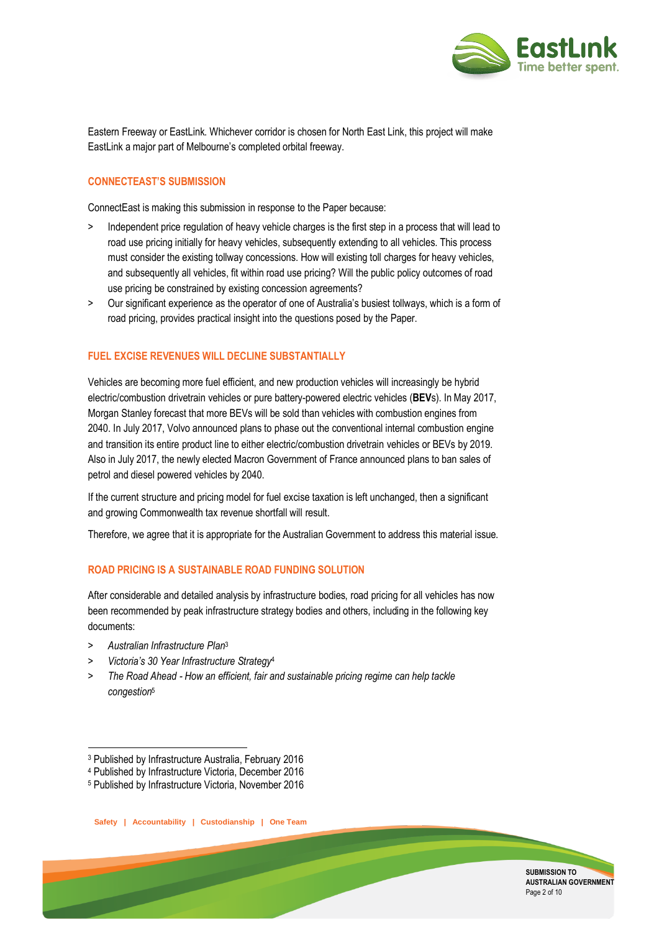

Eastern Freeway or EastLink. Whichever corridor is chosen for North East Link, this project will make EastLink a major part of Melbourne's completed orbital freeway.

#### **CONNECTEAST'S SUBMISSION**

ConnectEast is making this submission in response to the Paper because:

- Independent price regulation of heavy vehicle charges is the first step in a process that will lead to road use pricing initially for heavy vehicles, subsequently extending to all vehicles. This process must consider the existing tollway concessions. How will existing toll charges for heavy vehicles, and subsequently all vehicles, fit within road use pricing? Will the public policy outcomes of road use pricing be constrained by existing concession agreements?
- > Our significant experience as the operator of one of Australia's busiest tollways, which is a form of road pricing, provides practical insight into the questions posed by the Paper.

#### **FUEL EXCISE REVENUES WILL DECLINE SUBSTANTIALLY**

Vehicles are becoming more fuel efficient, and new production vehicles will increasingly be hybrid electric/combustion drivetrain vehicles or pure battery-powered electric vehicles (**BEV**s). In May 2017, Morgan Stanley forecast that more BEVs will be sold than vehicles with combustion engines from 2040. In July 2017, Volvo announced plans to phase out the conventional internal combustion engine and transition its entire product line to either electric/combustion drivetrain vehicles or BEVs by 2019. Also in July 2017, the newly elected Macron Government of France announced plans to ban sales of petrol and diesel powered vehicles by 2040.

If the current structure and pricing model for fuel excise taxation is left unchanged, then a significant and growing Commonwealth tax revenue shortfall will result.

Therefore, we agree that it is appropriate for the Australian Government to address this material issue.

#### **ROAD PRICING IS A SUSTAINABLE ROAD FUNDING SOLUTION**

After considerable and detailed analysis by infrastructure bodies, road pricing for all vehicles has now been recommended by peak infrastructure strategy bodies and others, including in the following key documents:

> *Australian Infrastructure Plan*<sup>3</sup>

.

- > *Victoria's 30 Year Infrastructure Strategy*<sup>4</sup>
- > *The Road Ahead - How an efficient, fair and sustainable pricing regime can help tackle congestion*<sup>5</sup>



<sup>3</sup> Published by Infrastructure Australia, February 2016

<sup>4</sup> Published by Infrastructure Victoria, December 2016

<sup>5</sup> Published by Infrastructure Victoria, November 2016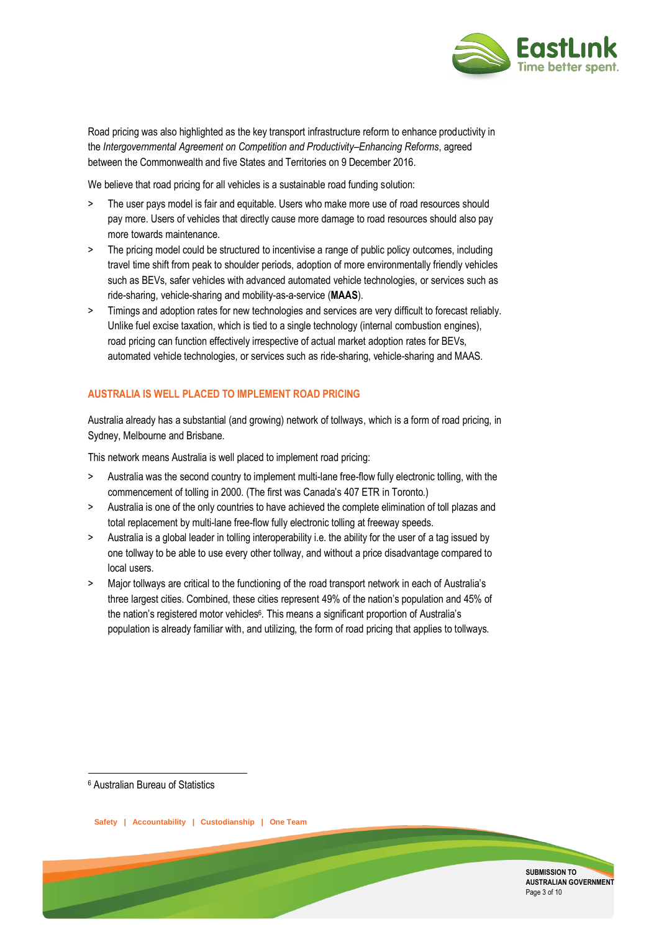

Road pricing was also highlighted as the key transport infrastructure reform to enhance productivity in the *Intergovernmental Agreement on Competition and Productivity–Enhancing Reforms*, agreed between the Commonwealth and five States and Territories on 9 December 2016.

We believe that road pricing for all vehicles is a sustainable road funding solution:

- > The user pays model is fair and equitable. Users who make more use of road resources should pay more. Users of vehicles that directly cause more damage to road resources should also pay more towards maintenance.
- > The pricing model could be structured to incentivise a range of public policy outcomes, including travel time shift from peak to shoulder periods, adoption of more environmentally friendly vehicles such as BEVs, safer vehicles with advanced automated vehicle technologies, or services such as ride-sharing, vehicle-sharing and mobility-as-a-service (**MAAS**).
- > Timings and adoption rates for new technologies and services are very difficult to forecast reliably. Unlike fuel excise taxation, which is tied to a single technology (internal combustion engines), road pricing can function effectively irrespective of actual market adoption rates for BEVs, automated vehicle technologies, or services such as ride-sharing, vehicle-sharing and MAAS.

### **AUSTRALIA IS WELL PLACED TO IMPLEMENT ROAD PRICING**

Australia already has a substantial (and growing) network of tollways, which is a form of road pricing, in Sydney, Melbourne and Brisbane.

This network means Australia is well placed to implement road pricing:

- > Australia was the second country to implement multi-lane free-flow fully electronic tolling, with the commencement of tolling in 2000. (The first was Canada's 407 ETR in Toronto.)
- > Australia is one of the only countries to have achieved the complete elimination of toll plazas and total replacement by multi-lane free-flow fully electronic tolling at freeway speeds.
- > Australia is a global leader in tolling interoperability i.e. the ability for the user of a tag issued by one tollway to be able to use every other tollway, and without a price disadvantage compared to local users.
- > Major tollways are critical to the functioning of the road transport network in each of Australia's three largest cities. Combined, these cities represent 49% of the nation's population and 45% of the nation's registered motor vehicles<sup>6</sup>. This means a significant proportion of Australia's population is already familiar with, and utilizing, the form of road pricing that applies to tollways.

<sup>6</sup> Australian Bureau of Statistics

1

**Safety | Accountability | Custodianship | One Team**

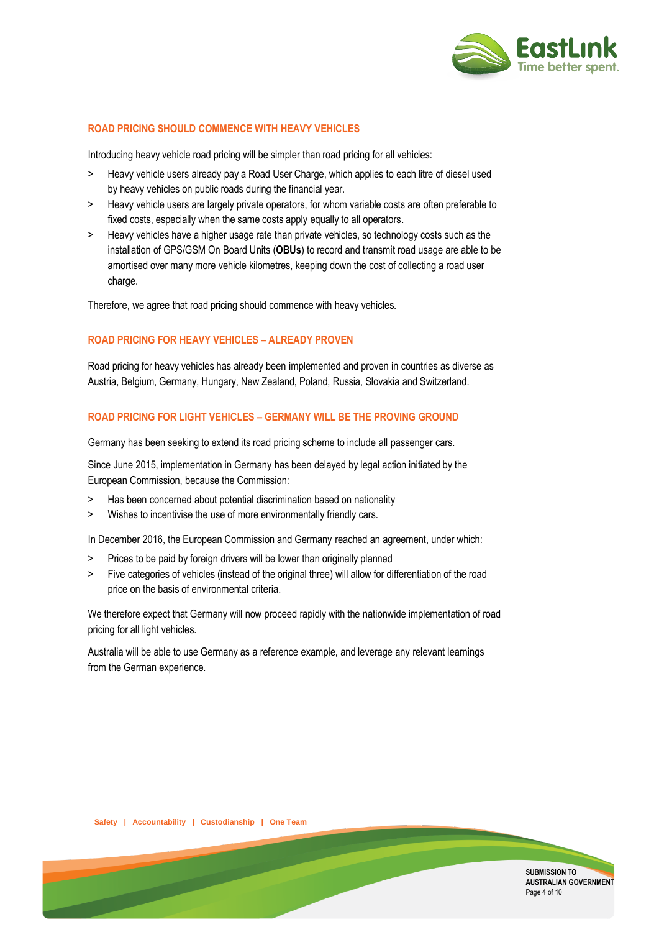

#### **ROAD PRICING SHOULD COMMENCE WITH HEAVY VEHICLES**

Introducing heavy vehicle road pricing will be simpler than road pricing for all vehicles:

- > Heavy vehicle users already pay a Road User Charge, which applies to each litre of diesel used by heavy vehicles on public roads during the financial year.
- > Heavy vehicle users are largely private operators, for whom variable costs are often preferable to fixed costs, especially when the same costs apply equally to all operators.
- > Heavy vehicles have a higher usage rate than private vehicles, so technology costs such as the installation of GPS/GSM On Board Units (**OBUs**) to record and transmit road usage are able to be amortised over many more vehicle kilometres, keeping down the cost of collecting a road user charge.

Therefore, we agree that road pricing should commence with heavy vehicles.

## **ROAD PRICING FOR HEAVY VEHICLES – ALREADY PROVEN**

Road pricing for heavy vehicles has already been implemented and proven in countries as diverse as Austria, Belgium, Germany, Hungary, New Zealand, Poland, Russia, Slovakia and Switzerland.

#### **ROAD PRICING FOR LIGHT VEHICLES – GERMANY WILL BE THE PROVING GROUND**

Germany has been seeking to extend its road pricing scheme to include all passenger cars.

Since June 2015, implementation in Germany has been delayed by legal action initiated by the European Commission, because the Commission:

- > Has been concerned about potential discrimination based on nationality
- > Wishes to incentivise the use of more environmentally friendly cars.

In December 2016, the European Commission and Germany reached an agreement, under which:

- > Prices to be paid by foreign drivers will be lower than originally planned
- > Five categories of vehicles (instead of the original three) will allow for differentiation of the road price on the basis of environmental criteria.

We therefore expect that Germany will now proceed rapidly with the nationwide implementation of road pricing for all light vehicles.

Australia will be able to use Germany as a reference example, and leverage any relevant learnings from the German experience.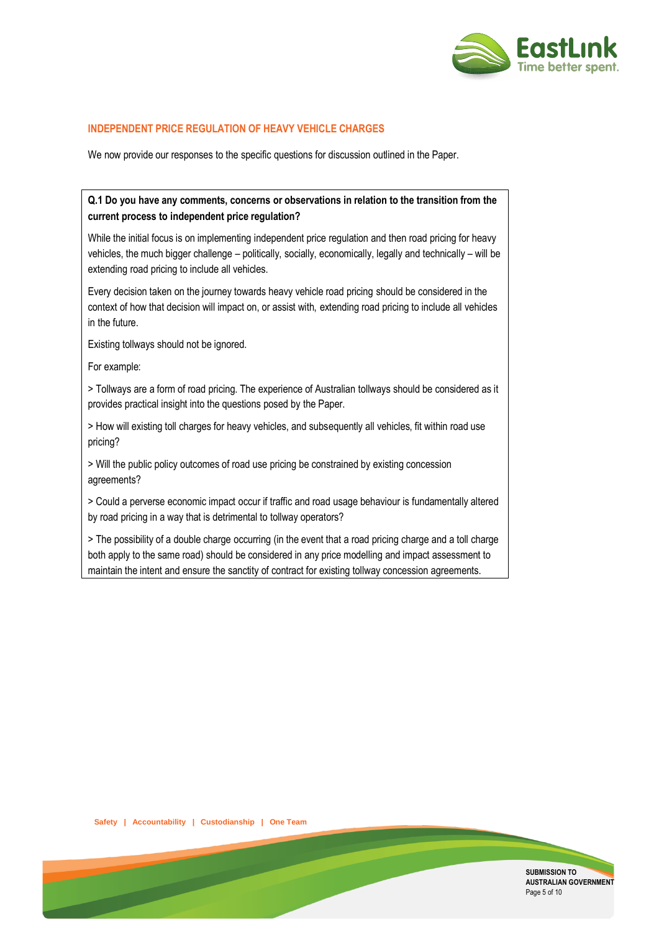

#### **INDEPENDENT PRICE REGULATION OF HEAVY VEHICLE CHARGES**

We now provide our responses to the specific questions for discussion outlined in the Paper.

## **Q.1 Do you have any comments, concerns or observations in relation to the transition from the current process to independent price regulation?**

While the initial focus is on implementing independent price regulation and then road pricing for heavy vehicles, the much bigger challenge – politically, socially, economically, legally and technically – will be extending road pricing to include all vehicles.

Every decision taken on the journey towards heavy vehicle road pricing should be considered in the context of how that decision will impact on, or assist with, extending road pricing to include all vehicles in the future.

Existing tollways should not be ignored.

For example:

> Tollways are a form of road pricing. The experience of Australian tollways should be considered as it provides practical insight into the questions posed by the Paper.

> How will existing toll charges for heavy vehicles, and subsequently all vehicles, fit within road use pricing?

> Will the public policy outcomes of road use pricing be constrained by existing concession agreements?

> Could a perverse economic impact occur if traffic and road usage behaviour is fundamentally altered by road pricing in a way that is detrimental to tollway operators?

> The possibility of a double charge occurring (in the event that a road pricing charge and a toll charge both apply to the same road) should be considered in any price modelling and impact assessment to maintain the intent and ensure the sanctity of contract for existing tollway concession agreements.



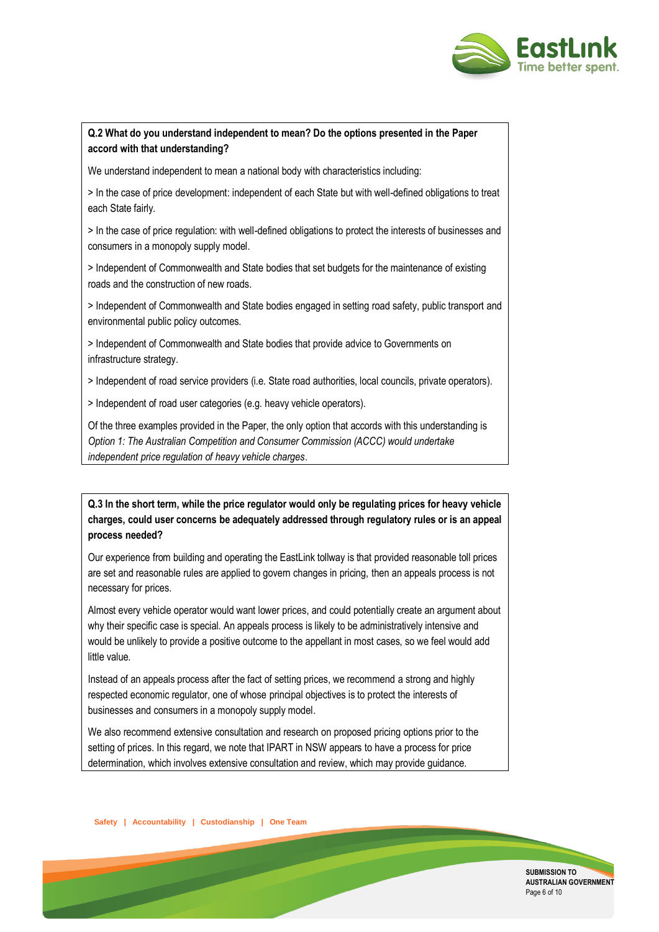

## **Q.2 What do you understand independent to mean? Do the options presented in the Paper accord with that understanding?**

We understand independent to mean a national body with characteristics including:

> In the case of price development: independent of each State but with well-defined obligations to treat each State fairly.

> In the case of price regulation: with well-defined obligations to protect the interests of businesses and consumers in a monopoly supply model.

> Independent of Commonwealth and State bodies that set budgets for the maintenance of existing roads and the construction of new roads.

> Independent of Commonwealth and State bodies engaged in setting road safety, public transport and environmental public policy outcomes.

> Independent of Commonwealth and State bodies that provide advice to Governments on infrastructure strategy.

> Independent of road service providers (i.e. State road authorities, local councils, private operators).

> Independent of road user categories (e.g. heavy vehicle operators).

Of the three examples provided in the Paper, the only option that accords with this understanding is *Option 1: The Australian Competition and Consumer Commission (ACCC) would undertake independent price regulation of heavy vehicle charges*.

**Q.3 In the short term, while the price regulator would only be regulating prices for heavy vehicle charges, could user concerns be adequately addressed through regulatory rules or is an appeal process needed?**

Our experience from building and operating the EastLink tollway is that provided reasonable toll prices are set and reasonable rules are applied to govern changes in pricing, then an appeals process is not necessary for prices.

Almost every vehicle operator would want lower prices, and could potentially create an argument about why their specific case is special. An appeals process is likely to be administratively intensive and would be unlikely to provide a positive outcome to the appellant in most cases, so we feel would add little value.

Instead of an appeals process after the fact of setting prices, we recommend a strong and highly respected economic regulator, one of whose principal objectives is to protect the interests of businesses and consumers in a monopoly supply model.

We also recommend extensive consultation and research on proposed pricing options prior to the setting of prices. In this regard, we note that IPART in NSW appears to have a process for price determination, which involves extensive consultation and review, which may provide guidance.

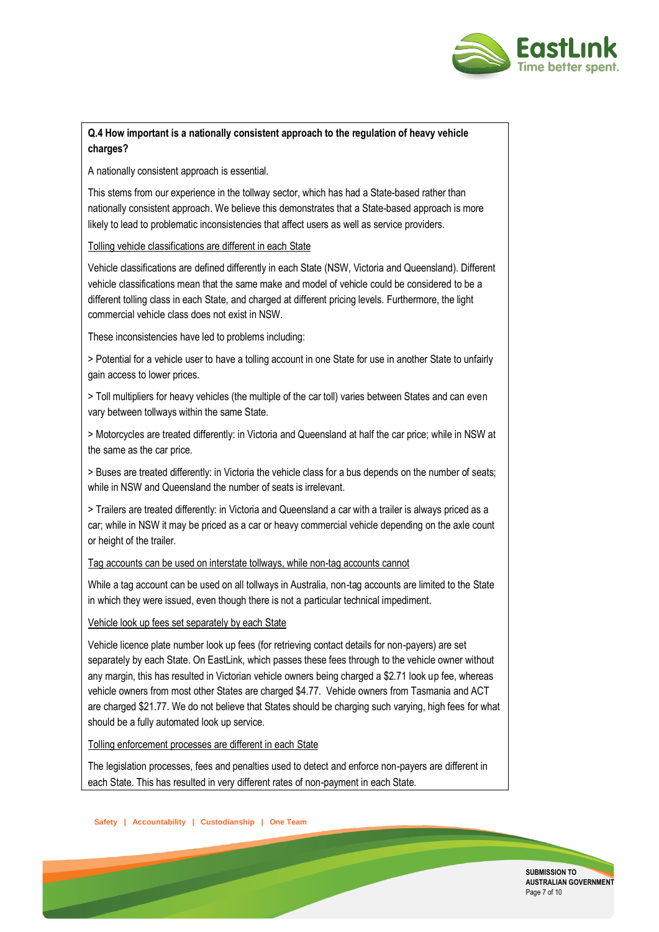

# **Q.4 How important is a nationally consistent approach to the regulation of heavy vehicle charges?**

A nationally consistent approach is essential.

This stems from our experience in the tollway sector, which has had a State-based rather than nationally consistent approach. We believe this demonstrates that a State-based approach is more likely to lead to problematic inconsistencies that affect users as well as service providers.

#### Tolling vehicle classifications are different in each State

Vehicle classifications are defined differently in each State (NSW, Victoria and Queensland). Different vehicle classifications mean that the same make and model of vehicle could be considered to be a different tolling class in each State, and charged at different pricing levels. Furthermore, the light commercial vehicle class does not exist in NSW.

These inconsistencies have led to problems including:

> Potential for a vehicle user to have a tolling account in one State for use in another State to unfairly gain access to lower prices.

> Toll multipliers for heavy vehicles (the multiple of the car toll) varies between States and can even vary between tollways within the same State.

> Motorcycles are treated differently: in Victoria and Queensland at half the car price; while in NSW at the same as the car price.

> Buses are treated differently: in Victoria the vehicle class for a bus depends on the number of seats; while in NSW and Queensland the number of seats is irrelevant.

> Trailers are treated differently: in Victoria and Queensland a car with a trailer is always priced as a car; while in NSW it may be priced as a car or heavy commercial vehicle depending on the axle count or height of the trailer.

#### Tag accounts can be used on interstate tollways, while non-tag accounts cannot

While a tag account can be used on all tollways in Australia, non-tag accounts are limited to the State in which they were issued, even though there is not a particular technical impediment.

## Vehicle look up fees set separately by each State

Vehicle licence plate number look up fees (for retrieving contact details for non-payers) are set separately by each State. On EastLink, which passes these fees through to the vehicle owner without any margin, this has resulted in Victorian vehicle owners being charged a \$2.71 look up fee, whereas vehicle owners from most other States are charged \$4.77. Vehicle owners from Tasmania and ACT are charged \$21.77. We do not believe that States should be charging such varying, high fees for what should be a fully automated look up service.

## Tolling enforcement processes are different in each State

The legislation processes, fees and penalties used to detect and enforce non-payers are different in each State. This has resulted in very different rates of non-payment in each State.

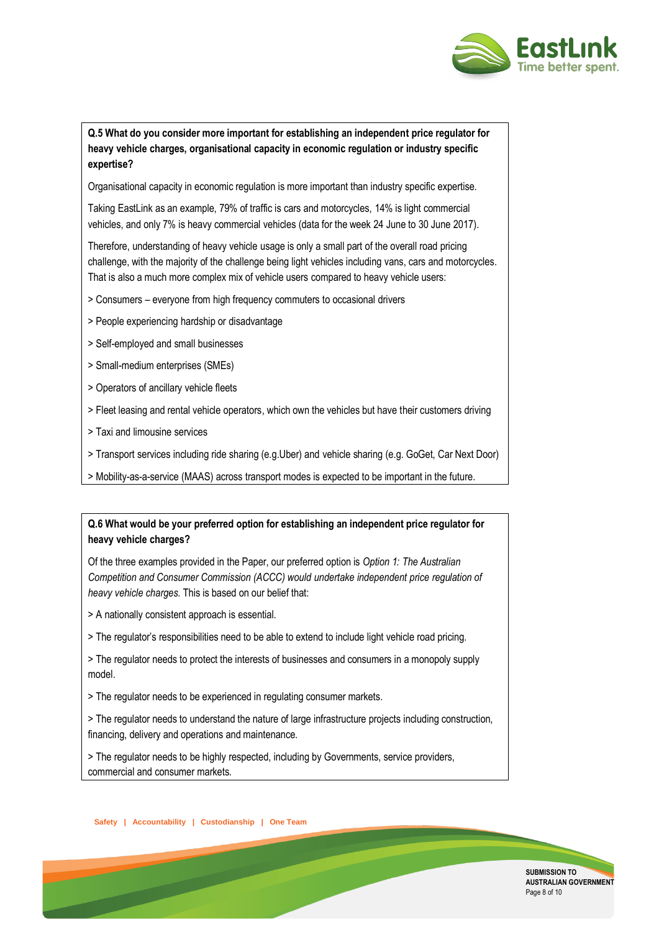

## **Q.5 What do you consider more important for establishing an independent price regulator for heavy vehicle charges, organisational capacity in economic regulation or industry specific expertise?**

Organisational capacity in economic regulation is more important than industry specific expertise.

Taking EastLink as an example, 79% of traffic is cars and motorcycles, 14% is light commercial vehicles, and only 7% is heavy commercial vehicles (data for the week 24 June to 30 June 2017).

Therefore, understanding of heavy vehicle usage is only a small part of the overall road pricing challenge, with the majority of the challenge being light vehicles including vans, cars and motorcycles. That is also a much more complex mix of vehicle users compared to heavy vehicle users:

- > Consumers everyone from high frequency commuters to occasional drivers
- > People experiencing hardship or disadvantage
- > Self-employed and small businesses
- > Small-medium enterprises (SMEs)
- > Operators of ancillary vehicle fleets
- > Fleet leasing and rental vehicle operators, which own the vehicles but have their customers driving
- > Taxi and limousine services
- > Transport services including ride sharing (e.g.Uber) and vehicle sharing (e.g. GoGet, Car Next Door)
- > Mobility-as-a-service (MAAS) across transport modes is expected to be important in the future.

## **Q.6 What would be your preferred option for establishing an independent price regulator for heavy vehicle charges?**

Of the three examples provided in the Paper, our preferred option is *Option 1: The Australian Competition and Consumer Commission (ACCC) would undertake independent price regulation of heavy vehicle charges.* This is based on our belief that:

- > A nationally consistent approach is essential.
- > The regulator's responsibilities need to be able to extend to include light vehicle road pricing.
- > The regulator needs to protect the interests of businesses and consumers in a monopoly supply model.
- > The regulator needs to be experienced in regulating consumer markets.
- > The regulator needs to understand the nature of large infrastructure projects including construction, financing, delivery and operations and maintenance.
- > The regulator needs to be highly respected, including by Governments, service providers, commercial and consumer markets.

**Safety | Accountability | Custodianship | One Team**

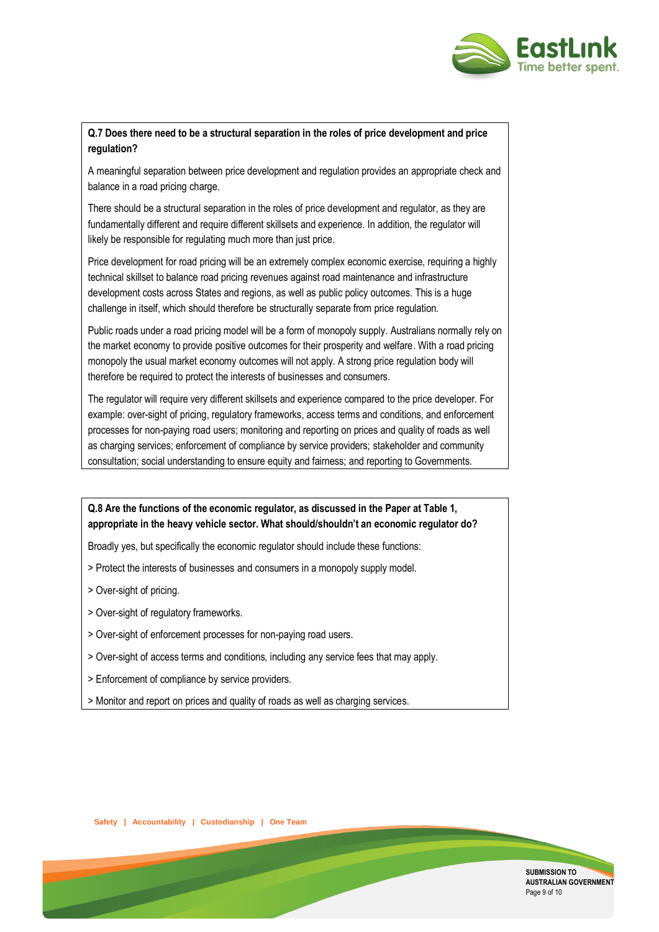

## **Q.7 Does there need to be a structural separation in the roles of price development and price regulation?**

A meaningful separation between price development and regulation provides an appropriate check and balance in a road pricing charge.

There should be a structural separation in the roles of price development and regulator, as they are fundamentally different and require different skillsets and experience. In addition, the regulator will likely be responsible for regulating much more than just price.

Price development for road pricing will be an extremely complex economic exercise, requiring a highly technical skillset to balance road pricing revenues against road maintenance and infrastructure development costs across States and regions, as well as public policy outcomes. This is a huge challenge in itself, which should therefore be structurally separate from price regulation.

Public roads under a road pricing model will be a form of monopoly supply. Australians normally rely on the market economy to provide positive outcomes for their prosperity and welfare. With a road pricing monopoly the usual market economy outcomes will not apply. A strong price regulation body will therefore be required to protect the interests of businesses and consumers.

The regulator will require very different skillsets and experience compared to the price developer. For example: over-sight of pricing, regulatory frameworks, access terms and conditions, and enforcement processes for non-paying road users; monitoring and reporting on prices and quality of roads as well as charging services; enforcement of compliance by service providers; stakeholder and community consultation; social understanding to ensure equity and fairness; and reporting to Governments.

# **Q.8 Are the functions of the economic regulator, as discussed in the Paper at Table 1, appropriate in the heavy vehicle sector. What should/shouldn't an economic regulator do?**

Broadly yes, but specifically the economic regulator should include these functions:

- > Protect the interests of businesses and consumers in a monopoly supply model.
- > Over-sight of pricing.
- > Over-sight of regulatory frameworks.
- > Over-sight of enforcement processes for non-paying road users.
- > Over-sight of access terms and conditions, including any service fees that may apply.
- > Enforcement of compliance by service providers.
- > Monitor and report on prices and quality of roads as well as charging services.